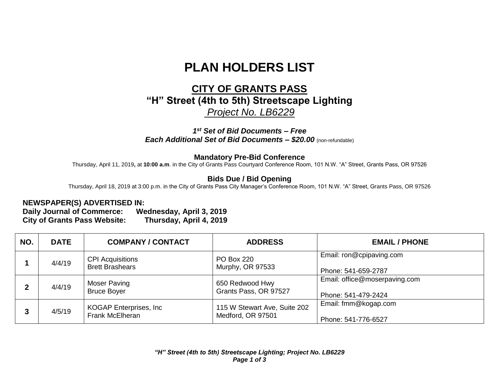# **PLAN HOLDERS LIST**

## **CITY OF GRANTS PASS "H" Street (4th to 5th) Streetscape Lighting** *Project No. LB6229*

#### *1 st Set of Bid Documents – Free Each Additional Set of Bid Documents – \$20.00* (non-refundable)

#### **Mandatory Pre-Bid Conference**

Thursday, April 11, 2019**,** at **10:00 a.m**. in the City of Grants Pass Courtyard Conference Room, 101 N.W. "A" Street, Grants Pass, OR 97526

### **Bids Due / Bid Opening**

Thursday, April 18, 2019 at 3:00 p.m. in the City of Grants Pass City Manager's Conference Room, 101 N.W. "A" Street, Grants Pass, OR 97526

#### **NEWSPAPER(S) ADVERTISED IN:**

**Daily Journal of Commerce: Wednesday, April 3, 2019 City of Grants Pass Website: Thursday, April 4, 2019**

| NO. | <b>DATE</b> | <b>COMPANY / CONTACT</b>                          | <b>ADDRESS</b>                                    | <b>EMAIL / PHONE</b>                                 |
|-----|-------------|---------------------------------------------------|---------------------------------------------------|------------------------------------------------------|
|     | 4/4/19      | <b>CPI Acquisitions</b><br><b>Brett Brashears</b> | <b>PO Box 220</b><br>Murphy, OR 97533             | Email: ron@cpipaving.com<br>Phone: 541-659-2787      |
|     | 4/4/19      | Moser Paving<br><b>Bruce Boyer</b>                | 650 Redwood Hwy<br>Grants Pass, OR 97527          | Email: office@moserpaving.com<br>Phone: 541-479-2424 |
| 3   | 4/5/19      | KOGAP Enterprises, Inc.<br><b>Frank McElheran</b> | 115 W Stewart Ave, Suite 202<br>Medford, OR 97501 | Email: fmm@kogap.com<br>Phone: 541-776-6527          |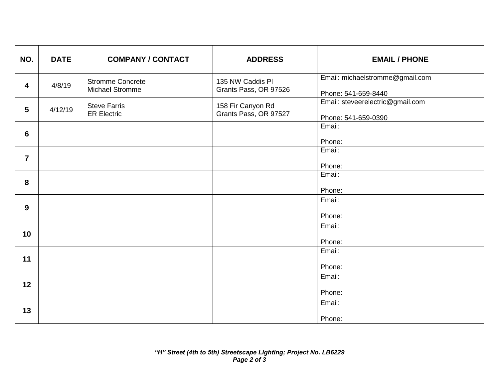| NO.                     | <b>DATE</b> | <b>COMPANY / CONTACT</b>                   | <b>ADDRESS</b>                             | <b>EMAIL / PHONE</b>                                    |
|-------------------------|-------------|--------------------------------------------|--------------------------------------------|---------------------------------------------------------|
| 4                       | 4/8/19      | <b>Stromme Concrete</b><br>Michael Stromme | 135 NW Caddis PI<br>Grants Pass, OR 97526  | Email: michaelstromme@gmail.com<br>Phone: 541-659-8440  |
| $5\phantom{.0}$         | 4/12/19     | <b>Steve Farris</b><br><b>ER Electric</b>  | 158 Fir Canyon Rd<br>Grants Pass, OR 97527 | Email: steveerelectric@gmail.com<br>Phone: 541-659-0390 |
| 6                       |             |                                            |                                            | Email:<br>Phone:                                        |
| $\overline{\mathbf{z}}$ |             |                                            |                                            | Email:<br>Phone:                                        |
| 8                       |             |                                            |                                            | Email:<br>Phone:                                        |
| 9                       |             |                                            |                                            | Email:<br>Phone:                                        |
| 10 <sub>1</sub>         |             |                                            |                                            | Email:<br>Phone:                                        |
| 11                      |             |                                            |                                            | Email:<br>Phone:                                        |
| 12                      |             |                                            |                                            | Email:<br>Phone:                                        |
| 13                      |             |                                            |                                            | Email:<br>Phone:                                        |